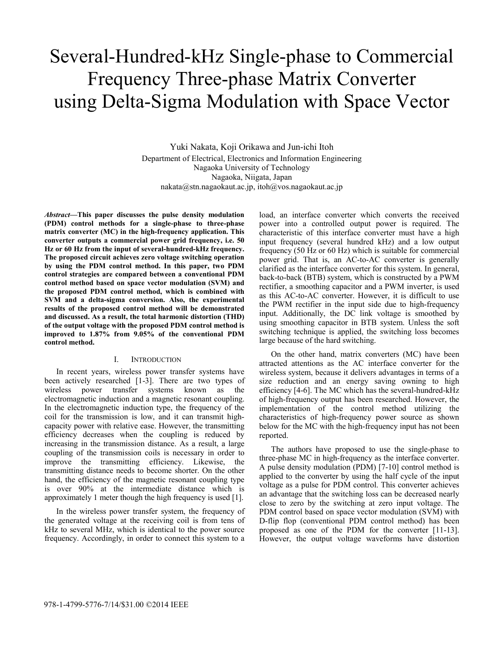# Several-Hundred-kHz Single-phase to Commercial Frequency Three-phase Matrix Converter using Delta-Sigma Modulation with Space Vector

Yuki Nakata, Koji Orikawa and Jun-ichi Itoh Department of Electrical, Electronics and Information Engineering Nagaoka University of Technology Nagaoka, Niigata, Japan nakata@stn.nagaokaut.ac.jp, itoh@vos.nagaokaut.ac.jp

*Abstract***—This paper discusses the pulse density modulation (PDM) control methods for a single-phase to three-phase matrix converter (MC) in the high-frequency application. This converter outputs a commercial power grid frequency, i.e. 50 Hz or 60 Hz from the input of several-hundred-kHz frequency. The proposed circuit achieves zero voltage switching operation by using the PDM control method. In this paper, two PDM control strategies are compared between a conventional PDM control method based on space vector modulation (SVM) and the proposed PDM control method, which is combined with SVM and a delta-sigma conversion. Also, the experimental results of the proposed control method will be demonstrated and discussed. As a result, the total harmonic distortion (THD) of the output voltage with the proposed PDM control method is improved to 1.87% from 9.05% of the conventional PDM control method.** 

### I. INTRODUCTION

In recent years, wireless power transfer systems have been actively researched [1-3]. There are two types of wireless power transfer systems known as the electromagnetic induction and a magnetic resonant coupling. In the electromagnetic induction type, the frequency of the coil for the transmission is low, and it can transmit highcapacity power with relative ease. However, the transmitting efficiency decreases when the coupling is reduced by increasing in the transmission distance. As a result, a large coupling of the transmission coils is necessary in order to improve the transmitting efficiency. Likewise, the transmitting distance needs to become shorter. On the other hand, the efficiency of the magnetic resonant coupling type is over 90% at the intermediate distance which is approximately 1 meter though the high frequency is used [1].

In the wireless power transfer system, the frequency of the generated voltage at the receiving coil is from tens of kHz to several MHz, which is identical to the power source frequency. Accordingly, in order to connect this system to a

load, an interface converter which converts the received power into a controlled output power is required. The characteristic of this interface converter must have a high input frequency (several hundred kHz) and a low output frequency (50 Hz or 60 Hz) which is suitable for commercial power grid. That is, an AC-to-AC converter is generally clarified as the interface converter for this system. In general, back-to-back (BTB) system, which is constructed by a PWM rectifier, a smoothing capacitor and a PWM inverter, is used as this AC-to-AC converter. However, it is difficult to use the PWM rectifier in the input side due to high-frequency input. Additionally, the DC link voltage is smoothed by using smoothing capacitor in BTB system. Unless the soft switching technique is applied, the switching loss becomes large because of the hard switching.

On the other hand, matrix converters (MC) have been attracted attentions as the AC interface converter for the wireless system, because it delivers advantages in terms of a size reduction and an energy saving owning to high efficiency [4-6]. The MC which has the several-hundred-kHz of high-frequency output has been researched. However, the implementation of the control method utilizing the characteristics of high-frequency power source as shown below for the MC with the high-frequency input has not been reported.

The authors have proposed to use the single-phase to three-phase MC in high-frequency as the interface converter. A pulse density modulation (PDM) [7-10] control method is applied to the converter by using the half cycle of the input voltage as a pulse for PDM control. This converter achieves an advantage that the switching loss can be decreased nearly close to zero by the switching at zero input voltage. The PDM control based on space vector modulation (SVM) with D-flip flop (conventional PDM control method) has been proposed as one of the PDM for the converter [11-13]. However, the output voltage waveforms have distortion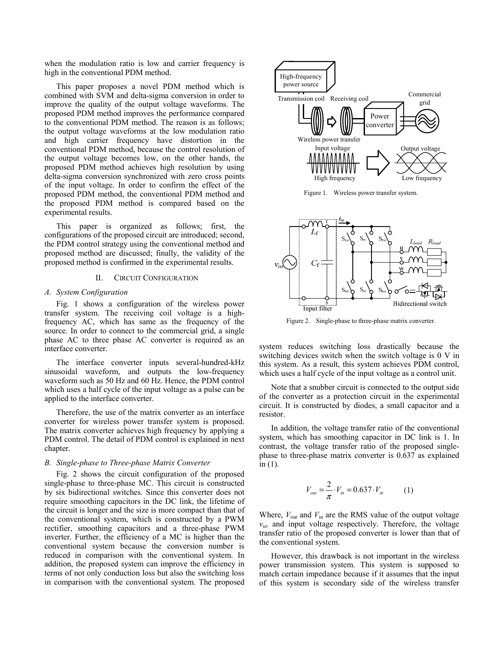when the modulation ratio is low and carrier frequency is high in the conventional PDM method.

This paper proposes a novel PDM method which is combined with SVM and delta-sigma conversion in order to improve the quality of the output voltage waveforms. The proposed PDM method improves the performance compared to the conventional PDM method. The reason is as follows; the output voltage waveforms at the low modulation ratio and high carrier frequency have distortion in the conventional PDM method, because the control resolution of the output voltage becomes low, on the other hands, the proposed PDM method achieves high resolution by using delta-sigma conversion synchronized with zero cross points of the input voltage. In order to confirm the effect of the proposed PDM method, the conventional PDM method and the proposed PDM method is compared based on the experimental results.

This paper is organized as follows; first, the configurations of the proposed circuit are introduced; second, the PDM control strategy using the conventional method and proposed method are discussed; finally, the validity of the proposed method is confirmed in the experimental results.

## II. CIRCUIT CONFIGURATION

## *A. System Configuration*

Fig. 1 shows a configuration of the wireless power transfer system. The receiving coil voltage is a highfrequency AC, which has same as the frequency of the source. In order to connect to the commercial grid, a single phase AC to three phase AC converter is required as an interface converter.

The interface converter inputs several-hundred-kHz sinusoidal waveform, and outputs the low-frequency waveform such as 50 Hz and 60 Hz. Hence, the PDM control which uses a half cycle of the input voltage as a pulse can be applied to the interface converter.

Therefore, the use of the matrix converter as an interface converter for wireless power transfer system is proposed. The matrix converter achieves high frequency by applying a PDM control. The detail of PDM control is explained in next chapter.

## *B. Single-phase to Three-phase Matrix Converter*

Fig. 2 shows the circuit configuration of the proposed single-phase to three-phase MC. This circuit is constructed by six bidirectional switches. Since this converter does not require smoothing capacitors in the DC link, the lifetime of the circuit is longer and the size is more compact than that of the conventional system, which is constructed by a PWM rectifier, smoothing capacitors and a three-phase PWM inverter. Further, the efficiency of a MC is higher than the conventional system because the conversion number is reduced in comparison with the conventional system. In addition, the proposed system can improve the efficiency in terms of not only conduction loss but also the switching loss in comparison with the conventional system. The proposed



Figure 1. Wireless power transfer system.



Figure 2. Single-phase to three-phase matrix converter.

system reduces switching loss drastically because the switching devices switch when the switch voltage is 0 V in this system. As a result, this system achieves PDM control, which uses a half cycle of the input voltage as a control unit.

Note that a snubber circuit is connected to the output side of the converter as a protection circuit in the experimental circuit. It is constructed by diodes, a small capacitor and a resistor.

In addition, the voltage transfer ratio of the conventional system, which has smoothing capacitor in DC link is 1. In contrast, the voltage transfer ratio of the proposed singlephase to three-phase matrix converter is 0.637 as explained in (1).

$$
V_{out} = \frac{2}{\pi} \cdot V_{in} = 0.637 \cdot V_{in}
$$
 (1)

Where,  $V_{\text{out}}$  and  $V_{\text{in}}$  are the RMS value of the output voltage  $v_{\rm uv}$  and input voltage respectively. Therefore, the voltage transfer ratio of the proposed converter is lower than that of the conventional system.

However, this drawback is not important in the wireless power transmission system. This system is supposed to match certain impedance because if it assumes that the input of this system is secondary side of the wireless transfer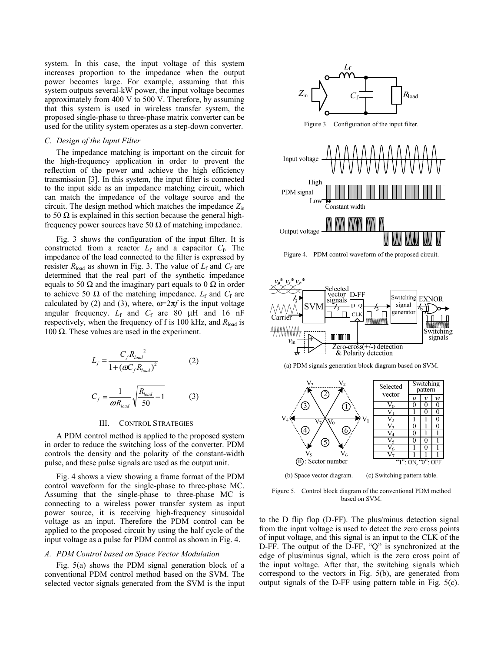system. In this case, the input voltage of this system increases proportion to the impedance when the output power becomes large. For example, assuming that this system outputs several-kW power, the input voltage becomes approximately from 400 V to 500 V. Therefore, by assuming that this system is used in wireless transfer system, the proposed single-phase to three-phase matrix converter can be used for the utility system operates as a step-down converter.

## *C. Design of the Input Filter*

The impedance matching is important on the circuit for the high-frequency application in order to prevent the reflection of the power and achieve the high efficiency transmission [3]. In this system, the input filter is connected to the input side as an impedance matching circuit, which can match the impedance of the voltage source and the circuit. The design method which matches the impedance *Z*in to 50  $\Omega$  is explained in this section because the general highfrequency power sources have 50  $\Omega$  of matching impedance.

Fig. 3 shows the configuration of the input filter. It is constructed from a reactor  $L_f$  and a capacitor  $C_f$ . The impedance of the load connected to the filter is expressed by resister  $R_{load}$  as shown in Fig. 3. The value of  $L_f$  and  $C_f$  are determined that the real part of the synthetic impedance equals to 50  $\Omega$  and the imaginary part equals to 0  $\Omega$  in order to achieve 50  $\Omega$  of the matching impedance.  $L_f$  and  $C_f$  are calculated by (2) and (3), where,  $\omega = 2\pi f$  is the input voltage angular frequency.  $L_f$  and  $C_f$  are 80  $\mu$ H and 16 nF respectively, when the frequency of f is 100 kHz, and *R*load is 100  $Ω$ . These values are used in the experiment.

$$
L_{f} = \frac{C_{f} R_{load}^{2}}{1 + (\omega C_{f} R_{load})^{2}}
$$
 (2)  

$$
C_{f} = \frac{1}{\omega R_{load}} \sqrt{\frac{R_{load}}{50} - 1}
$$
 (3)

#### III. CONTROL STRATEGIES

A PDM control method is applied to the proposed system in order to reduce the switching loss of the converter. PDM controls the density and the polarity of the constant-width pulse, and these pulse signals are used as the output unit.

Fig. 4 shows a view showing a frame format of the PDM control waveform for the single-phase to three-phase MC. Assuming that the single-phase to three-phase MC is connecting to a wireless power transfer system as input power source, it is receiving high-frequency sinusoidal voltage as an input. Therefore the PDM control can be applied to the proposed circuit by using the half cycle of the input voltage as a pulse for PDM control as shown in Fig. 4.

#### *A. PDM Control based on Space Vector Modulation*

Fig. 5(a) shows the PDM signal generation block of a conventional PDM control method based on the SVM. The selected vector signals generated from the SVM is the input



Figure 4. PDM control waveform of the proposed circuit.







(b) Space vector diagram. (c) Switching pattern table.

Figure 5. Control block diagram of the conventional PDM method based on SVM.

to the D flip flop (D-FF). The plus/minus detection signal from the input voltage is used to detect the zero cross points of input voltage, and this signal is an input to the CLK of the D-FF. The output of the D-FF, "Q" is synchronized at the edge of plus/minus signal, which is the zero cross point of the input voltage. After that, the switching signals which correspond to the vectors in Fig. 5(b), are generated from output signals of the D-FF using pattern table in Fig. 5(c).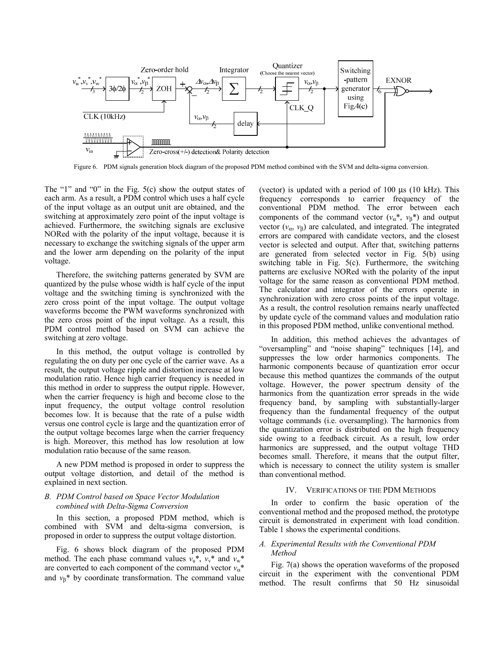

Figure 6. PDM signals generation block diagram of the proposed PDM method combined with the SVM and delta-sigma conversion.

The "1" and "0" in the Fig. 5(c) show the output states of each arm. As a result, a PDM control which uses a half cycle of the input voltage as an output unit are obtained, and the switching at approximately zero point of the input voltage is achieved. Furthermore, the switching signals are exclusive NORed with the polarity of the input voltage, because it is necessary to exchange the switching signals of the upper arm and the lower arm depending on the polarity of the input voltage.

Therefore, the switching patterns generated by SVM are quantized by the pulse whose width is half cycle of the input voltage and the switching timing is synchronized with the zero cross point of the input voltage. The output voltage waveforms become the PWM waveforms synchronized with the zero cross point of the input voltage. As a result, this PDM control method based on SVM can achieve the switching at zero voltage.

In this method, the output voltage is controlled by regulating the on duty per one cycle of the carrier wave. As a result, the output voltage ripple and distortion increase at low modulation ratio. Hence high carrier frequency is needed in this method in order to suppress the output ripple. However, when the carrier frequency is high and become close to the input frequency, the output voltage control resolution becomes low. It is because that the rate of a pulse width versus one control cycle is large and the quantization error of the output voltage becomes large when the carrier frequency is high. Moreover, this method has low resolution at low modulation ratio because of the same reason.

A new PDM method is proposed in order to suppress the output voltage distortion, and detail of the method is explained in next section.

## *B. PDM Control based on Space Vector Modulation combined with Delta-Sigma Conversion*

In this section, a proposed PDM method, which is combined with SVM and delta-sigma conversion, is proposed in order to suppress the output voltage distortion.

Fig. 6 shows block diagram of the proposed PDM method. The each phase command values  $v_{u}^{*}$ ,  $v_{v}^{*}$  and  $v_{w}^{*}$ are converted to each component of the command vector  $v_\alpha^*$ and  $v_8$ <sup>\*</sup> by coordinate transformation. The command value (vector) is updated with a period of 100 μs (10 kHz). This frequency corresponds to carrier frequency of the conventional PDM method. The error between each components of the command vector  $(v_\alpha^*, v_\beta^*)$  and output vector  $(v_{\alpha}, v_{\beta})$  are calculated, and integrated. The integrated errors are compared with candidate vectors, and the closest vector is selected and output. After that, switching patterns are generated from selected vector in Fig. 5(b) using switching table in Fig. 5(c). Furthermore, the switching patterns are exclusive NORed with the polarity of the input voltage for the same reason as conventional PDM method. The calculator and integrator of the errors operate in synchronization with zero cross points of the input voltage. As a result, the control resolution remains nearly unaffected by update cycle of the command values and modulation ratio in this proposed PDM method, unlike conventional method.

In addition, this method achieves the advantages of "oversampling" and "noise shaping" techniques [14], and suppresses the low order harmonics components. The harmonic components because of quantization error occur because this method quantizes the commands of the output voltage. However, the power spectrum density of the harmonics from the quantization error spreads in the wide frequency band, by sampling with substantially-larger frequency than the fundamental frequency of the output voltage commands (i.e. oversampling). The harmonics from the quantization error is distributed on the high frequency side owing to a feedback circuit. As a result, low order harmonics are suppressed, and the output voltage THD becomes small. Therefore, it means that the output filter, which is necessary to connect the utility system is smaller than conventional method.

### IV. VERIFICATIONS OF THE PDM METHODS

In order to confirm the basic operation of the conventional method and the proposed method, the prototype circuit is demonstrated in experiment with load condition. Table 1 shows the experimental conditions.

# *A. Experimental Results with the Conventional PDM Method*

Fig. 7(a) shows the operation waveforms of the proposed circuit in the experiment with the conventional PDM method. The result confirms that 50 Hz sinusoidal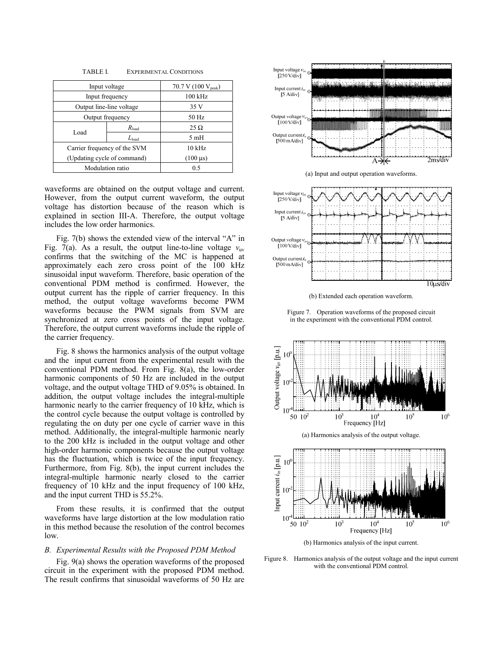| Input voltage                |                | 70.7 V (100 $V_{peak}$ ) |
|------------------------------|----------------|--------------------------|
| Input frequency              |                | $100$ kHz                |
| Output line-line voltage     |                | 35 V                     |
| Output frequency             |                | 50 Hz                    |
| Load                         | $R_{\rm load}$ | $25 \Omega$              |
|                              | $L_{load}$     | 5mH                      |
| Carrier frequency of the SVM |                | $10$ kHz                 |
| (Updating cycle of command)  |                | $(100 \,\mu s)$          |
| Modulation ratio             |                | 0.5                      |

TABLE I. EXPERIMENTAL CONDITIONS

waveforms are obtained on the output voltage and current. However, from the output current waveform, the output voltage has distortion because of the reason which is explained in section III-A. Therefore, the output voltage includes the low order harmonics.

Fig. 7(b) shows the extended view of the interval "A" in Fig. 7(a). As a result, the output line-to-line voltage  $v_{uv}$ confirms that the switching of the MC is happened at approximately each zero cross point of the 100 kHz sinusoidal input waveform. Therefore, basic operation of the conventional PDM method is confirmed. However, the output current has the ripple of carrier frequency. In this method, the output voltage waveforms become PWM waveforms because the PWM signals from SVM are synchronized at zero cross points of the input voltage. Therefore, the output current waveforms include the ripple of the carrier frequency.

Fig. 8 shows the harmonics analysis of the output voltage and the input current from the experimental result with the conventional PDM method. From Fig. 8(a), the low-order harmonic components of 50 Hz are included in the output voltage, and the output voltage THD of 9.05% is obtained. In addition, the output voltage includes the integral-multiple harmonic nearly to the carrier frequency of 10 kHz, which is the control cycle because the output voltage is controlled by regulating the on duty per one cycle of carrier wave in this method. Additionally, the integral-multiple harmonic nearly to the 200 kHz is included in the output voltage and other high-order harmonic components because the output voltage has the fluctuation, which is twice of the input frequency. Furthermore, from Fig. 8(b), the input current includes the integral-multiple harmonic nearly closed to the carrier frequency of 10 kHz and the input frequency of 100 kHz, and the input current THD is 55.2%.

From these results, it is confirmed that the output waveforms have large distortion at the low modulation ratio in this method because the resolution of the control becomes low.

#### *B. Experimental Results with the Proposed PDM Method*

Fig. 9(a) shows the operation waveforms of the proposed circuit in the experiment with the proposed PDM method. The result confirms that sinusoidal waveforms of 50 Hz are







(b) Extended each operation waveform.

Figure 7. Operation waveforms of the proposed circuit in the experiment with the conventional PDM control.



(b) Harmonics analysis of the input current.

Figure 8. Harmonics analysis of the output voltage and the input current with the conventional PDM control.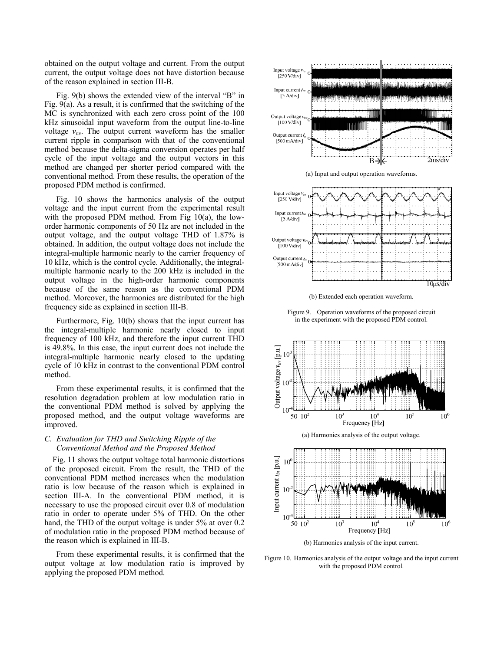obtained on the output voltage and current. From the output current, the output voltage does not have distortion because of the reason explained in section III-B.

Fig. 9(b) shows the extended view of the interval "B" in Fig. 9(a). As a result, it is confirmed that the switching of the MC is synchronized with each zero cross point of the 100 kHz sinusoidal input waveform from the output line-to-line voltage  $v_{\text{uv}}$ . The output current waveform has the smaller current ripple in comparison with that of the conventional method because the delta-sigma conversion operates per half cycle of the input voltage and the output vectors in this method are changed per shorter period compared with the conventional method. From these results, the operation of the proposed PDM method is confirmed.

Fig. 10 shows the harmonics analysis of the output voltage and the input current from the experimental result with the proposed PDM method. From Fig 10(a), the loworder harmonic components of 50 Hz are not included in the output voltage, and the output voltage THD of 1.87% is obtained. In addition, the output voltage does not include the integral-multiple harmonic nearly to the carrier frequency of 10 kHz, which is the control cycle. Additionally, the integralmultiple harmonic nearly to the 200 kHz is included in the output voltage in the high-order harmonic components because of the same reason as the conventional PDM method. Moreover, the harmonics are distributed for the high frequency side as explained in section III-B.

Furthermore, Fig. 10(b) shows that the input current has the integral-multiple harmonic nearly closed to input frequency of 100 kHz, and therefore the input current THD is 49.8%. In this case, the input current does not include the integral-multiple harmonic nearly closed to the updating cycle of 10 kHz in contrast to the conventional PDM control method.

From these experimental results, it is confirmed that the resolution degradation problem at low modulation ratio in the conventional PDM method is solved by applying the proposed method, and the output voltage waveforms are improved.

# *C. Evaluation for THD and Switching Ripple of the Conventional Method and the Proposed Method*

Fig. 11 shows the output voltage total harmonic distortions of the proposed circuit. From the result, the THD of the conventional PDM method increases when the modulation ratio is low because of the reason which is explained in section III-A. In the conventional PDM method, it is necessary to use the proposed circuit over 0.8 of modulation ratio in order to operate under 5% of THD. On the other hand, the THD of the output voltage is under 5% at over 0.2 of modulation ratio in the proposed PDM method because of the reason which is explained in III-B.

From these experimental results, it is confirmed that the output voltage at low modulation ratio is improved by applying the proposed PDM method.







(b) Extended each operation waveform.

Figure 9. Operation waveforms of the proposed circuit in the experiment with the proposed PDM control.





(b) Harmonics analysis of the input current.

Figure 10. Harmonics analysis of the output voltage and the input current with the proposed PDM control.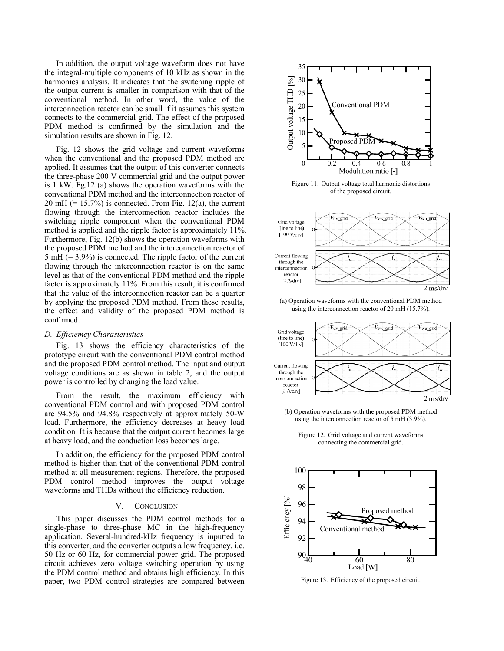In addition, the output voltage waveform does not have the integral-multiple components of 10 kHz as shown in the harmonics analysis. It indicates that the switching ripple of the output current is smaller in comparison with that of the conventional method. In other word, the value of the interconnection reactor can be small if it assumes this system connects to the commercial grid. The effect of the proposed PDM method is confirmed by the simulation and the simulation results are shown in Fig. 12.

Fig. 12 shows the grid voltage and current waveforms when the conventional and the proposed PDM method are applied. It assumes that the output of this converter connects the three-phase 200 V commercial grid and the output power is 1 kW. Fg.12 (a) shows the operation waveforms with the conventional PDM method and the interconnection reactor of  $20 \text{ mH}$  (= 15.7%) is connected. From Fig. 12(a), the current flowing through the interconnection reactor includes the switching ripple component when the conventional PDM method is applied and the ripple factor is approximately 11%. Furthermore, Fig. 12(b) shows the operation waveforms with the proposed PDM method and the interconnection reactor of 5 mH (= 3.9%) is connected. The ripple factor of the current flowing through the interconnection reactor is on the same level as that of the conventional PDM method and the ripple factor is approximately 11%. From this result, it is confirmed that the value of the interconnection reactor can be a quarter by applying the proposed PDM method. From these results, the effect and validity of the proposed PDM method is confirmed.

## *D. Efficiemcy Charasteristics*

Fig. 13 shows the efficiency characteristics of the prototype circuit with the conventional PDM control method and the proposed PDM control method. The input and output voltage conditions are as shown in table 2, and the output power is controlled by changing the load value.

From the result, the maximum efficiency with conventional PDM control and with proposed PDM control are 94.5% and 94.8% respectively at approximately 50-W load. Furthermore, the efficiency decreases at heavy load condition. It is because that the output current becomes large at heavy load, and the conduction loss becomes large.

In addition, the efficiency for the proposed PDM control method is higher than that of the conventional PDM control method at all measurement regions. Therefore, the proposed PDM control method improves the output voltage waveforms and THDs without the efficiency reduction.

# V. CONCLUSION

This paper discusses the PDM control methods for a single-phase to three-phase MC in the high-frequency application. Several-hundred-kHz frequency is inputted to this converter, and the converter outputs a low frequency, i.e. 50 Hz or 60 Hz, for commercial power grid. The proposed circuit achieves zero voltage switching operation by using the PDM control method and obtains high efficiency. In this paper, two PDM control strategies are compared between



Figure 11. Output voltage total harmonic distortions of the proposed circuit.



(a) Operation waveforms with the conventional PDM method using the interconnection reactor of 20 mH (15.7%).



(b) Operation waveforms with the proposed PDM method using the interconnection reactor of 5 mH (3.9%).

Figure 12. Grid voltage and current waveforms connecting the commercial grid.



Figure 13. Efficiency of the proposed circuit.